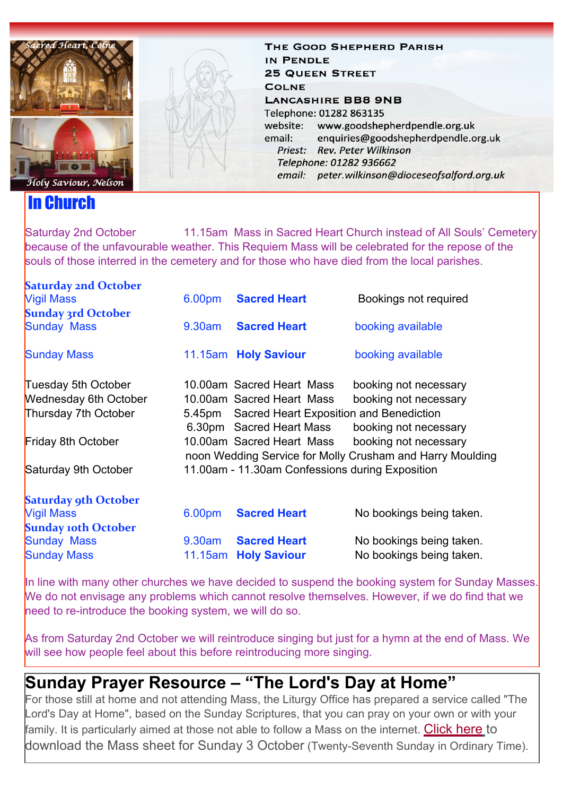

## In Church

THE GOOD SHEPHERD PARISH IN PENDLE **25 QUEEN STREET COLNE LANCASHIRE BB8 9NB** Telephone: 01282 863135 website: www.goodshepherdpendle.org.uk email: enquiries@goodshepherdpendle.org.uk Priest: Rev. Peter Wilkinson Telephone: 01282 936662 email: peter.wilkinson@dioceseofsalford.org.uk

Saturday 2nd October 11.15am Mass in Sacred Heart Church instead of All Souls' Cemetery because of the unfavourable weather. This Requiem Mass will be celebrated for the repose of the souls of those interred in the cemetery and for those who have died from the local parishes.

| <b>Saturday 2nd October</b>  |           |                                                 |                                                           |
|------------------------------|-----------|-------------------------------------------------|-----------------------------------------------------------|
| <b>Vigil Mass</b>            | 6.00pm    | <b>Sacred Heart</b>                             | Bookings not required                                     |
| <b>Sunday 3rd October</b>    |           |                                                 |                                                           |
| <b>Sunday Mass</b>           | $9.30$ am | <b>Sacred Heart</b>                             | booking available                                         |
| <b>Sunday Mass</b>           |           | 11.15am Holy Saviour                            | booking available                                         |
| Tuesday 5th October          |           | 10.00am Sacred Heart Mass                       | booking not necessary                                     |
| <b>Wednesday 6th October</b> |           | 10.00am Sacred Heart Mass                       | booking not necessary                                     |
| Thursday 7th October         |           | 5.45pm Sacred Heart Exposition and Benediction  |                                                           |
|                              |           | 6.30pm Sacred Heart Mass                        | booking not necessary                                     |
| Friday 8th October           |           | 10.00am Sacred Heart Mass                       | booking not necessary                                     |
|                              |           |                                                 | noon Wedding Service for Molly Crusham and Harry Moulding |
| Saturday 9th October         |           | 11.00am - 11.30am Confessions during Exposition |                                                           |
| <b>Saturday 9th October</b>  |           |                                                 |                                                           |
| <b>Vigil Mass</b>            | 6.00pm    | <b>Sacred Heart</b>                             | No bookings being taken.                                  |
| <b>Sunday 10th October</b>   |           |                                                 |                                                           |
| <b>Sunday Mass</b>           | 9.30am    | <b>Sacred Heart</b>                             | No bookings being taken.                                  |
| <b>Sunday Mass</b>           | 11.15am   | <b>Holy Saviour</b>                             | No bookings being taken.                                  |

In line with many other churches we have decided to suspend the booking system for Sunday Masses. We do not envisage any problems which cannot resolve themselves. However, if we do find that we need to re-introduce the booking system, we will do so.

As from Saturday 2nd October we will reintroduce singing but just for a hymn at the end of Mass. We will see how people feel about this before reintroducing more singing.

## **Sunday Prayer Resource – "The Lord's Day at Home"**

For those still at home and not attending Mass, the Liturgy Office has prepared a service called "The Lord's Day at Home", based on the Sunday Scriptures, that you can pray on your own or with your family. It is particularly aimed at those not able to follow a Mass on the internet. [Click here](https://gbr01.safelinks.protection.outlook.com/?url=https%3A%2F%2Fdioceseofsalford.us6.list-manage.com%2Ftrack%2Fclick%3Fu%3D76e219dab8653b775ba8aac4c%26id%3D0833795916%26e%3D5ce69633f0&data=04%7C01%7Cpeter.wilkinson%40dioceseofsalford.org.uk%7Cfb9755f775dd4c09be4508d98325ecea%7C699a61ae142a45a090c604b2f08de19b%7C0%7C0%7C637685021310300867%7CUnknown%7CTWFpbGZsb3d8eyJWIjoiMC4wLjAwMDAiLCJQIjoiV2luMzIiLCJBTiI6Ik1haWwiLCJXVCI6Mn0%3D%7C3000&sdata=mtJdu1QVS%2F6cDJprhvsQWoM28QdOIo4CdAjdJ%2BDG0nk%3D&reserved=0) [t](https://gbr01.safelinks.protection.outlook.com/?url=https%3A%2F%2Fdioceseofsalford.us6.list-manage.com%2Ftrack%2Fclick%3Fu%3D76e219dab8653b775ba8aac4c%26id%3D0833795916%26e%3D5ce69633f0&data=04%7C01%7Cpeter.wilkinson%40dioceseofsalford.org.uk%7Cfb9755f775dd4c09be4508d98325ecea%7C699a61ae142a45a090c604b2f08de19b%7C0%7C0%7C637685021310300867%7CUnknown%7CTWFpbGZsb3d8eyJWIjoiMC4wLjAwMDAiLCJQIjoiV2luMzIiLCJBTiI6Ik1haWwiLCJXVCI6Mn0%3D%7C3000&sdata=mtJdu1QVS%2F6cDJprhvsQWoM28QdOIo4CdAjdJ%2BDG0nk%3D&reserved=0)o download the Mass sheet for Sunday 3 October (Twenty-Seventh Sunday in Ordinary Time).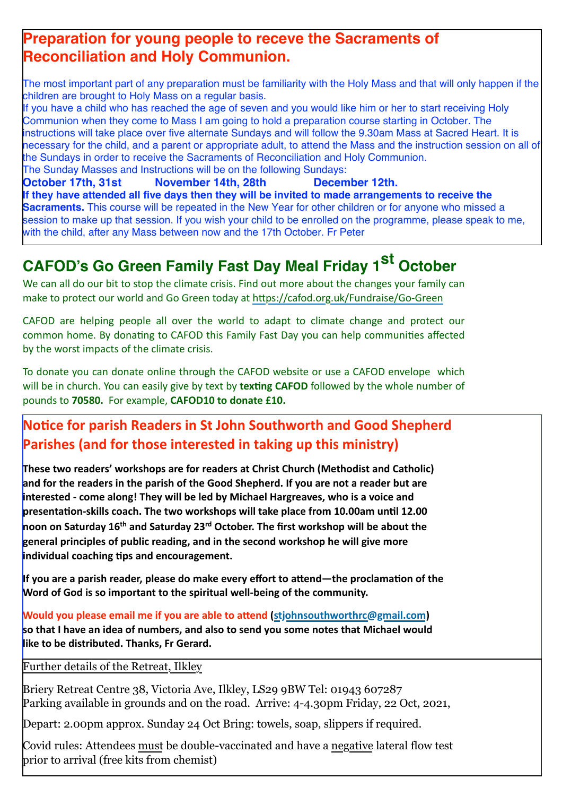### **Preparation for young people to receve the Sacraments of Reconciliation and Holy Communion.**

The most important part of any preparation must be familiarity with the Holy Mass and that will only happen if the children are brought to Holy Mass on a regular basis.

If you have a child who has reached the age of seven and you would like him or her to start receiving Holy Communion when they come to Mass I am going to hold a preparation course starting in October. The instructions will take place over five alternate Sundays and will follow the 9.30am Mass at Sacred Heart. It is necessary for the child, and a parent or appropriate adult, to attend the Mass and the instruction session on all of the Sundays in order to receive the Sacraments of Reconciliation and Holy Communion.

The Sunday Masses and Instructions will be on the following Sundays: **October 17th, 31st November 14th, 28th December 12th. If they have attended all five days then they will be invited to made arrangements to receive the Sacraments.** This course will be repeated in the New Year for other children or for anyone who missed a session to make up that session. If you wish your child to be enrolled on the programme, please speak to me, with the child, after any Mass between now and the 17th October. Fr Peter

# **CAFOD's Go Green Family Fast Day Meal Friday 1st October**

We can all do our bit to stop the climate crisis. Find out more about the changes your family can make to protect our world and Go Green today at https://cafod.org.uk/Fundraise/Go-Green

CAFOD are helping people all over the world to adapt to climate change and protect our common home. By donating to CAFOD this Family Fast Day you can help communities affected by the worst impacts of the climate crisis.

To donate you can donate online through the CAFOD website or use a CAFOD envelope which will be in church. You can easily give by text by texting CAFOD followed by the whole number of pounds to 70580. For example, CAFOD10 to donate £10.

### **Notice for parish Readers in St John Southworth and Good Shepherd Parishes (and for those interested in taking up this ministry)**

These two readers' workshops are for readers at Christ Church (Methodist and Catholic) and for the readers in the parish of the Good Shepherd. If you are not a reader but are **interested** - come along! They will be led by Michael Hargreaves, who is a voice and **presentation-skills coach. The two workshops will take place from 10.00am until 12.00 noon on Saturday 16<sup>th</sup> and Saturday 23<sup>rd</sup> October. The first workshop will be about the general principles of public reading, and in the second workshop he will give more individual coaching tips and encouragement.** 

**If you are a parish reader, please do make every effort to attend—the proclamation of the Word of God is so important to the spiritual well-being of the community.** 

**Would you please email me if you are able to attend (stiohnsouthworthrc@gmail.com) so that I have an idea of numbers, and also to send you some notes that Michael would like to be distributed. Thanks, Fr Gerard.** 

Further details of the Retreat, Ilkley

Briery Retreat Centre 38, Victoria Ave, Ilkley, LS29 9BW Tel: 01943 607287 Parking available in grounds and on the road. Arrive: 4-4.30pm Friday, 22 Oct, 2021,

Depart: 2.00pm approx. Sunday 24 Oct Bring: towels, soap, slippers if required.

Covid rules: Attendees must be double-vaccinated and have a negative lateral flow test prior to arrival (free kits from chemist)